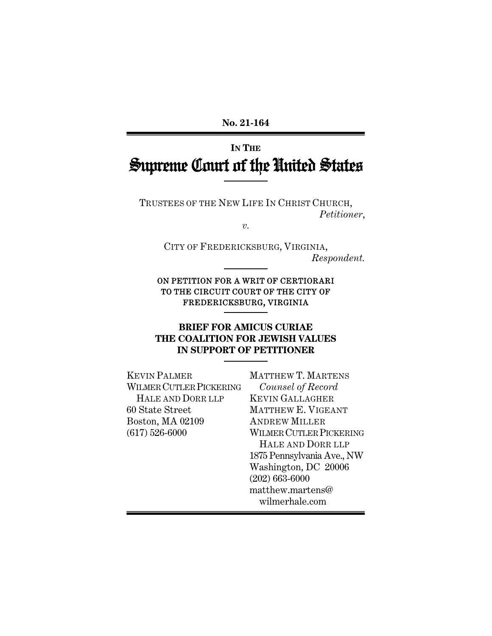**No. 21-164** 

# **IN THE** Supreme Court of the United States

TRUSTEES OF THE NEW LIFE IN CHRIST CHURCH, *Petitioner*,

*v.* 

CITY OF FREDERICKSBURG, VIRGINIA, *Respondent.* 

### ON PETITION FOR A WRIT OF CERTIORARI TO THE CIRCUIT COURT OF THE CITY OF FREDERICKSBURG, VIRGINIA

# **BRIEF FOR AMICUS CURIAE THE COALITION FOR JEWISH VALUES IN SUPPORT OF PETITIONER**

KEVIN PALMER WILMER CUTLER PICKERING HALE AND DORR LLP 60 State Street Boston, MA 02109 (617) 526-6000

MATTHEW T. MARTENS *Counsel of Record*  KEVIN GALLAGHER MATTHEW E. VIGEANT ANDREW MILLER WILMER CUTLER PICKERING HALE AND DORR LLP 1875 Pennsylvania Ave., NW Washington, DC 20006 (202) 663-6000 matthew.martens@ wilmerhale.com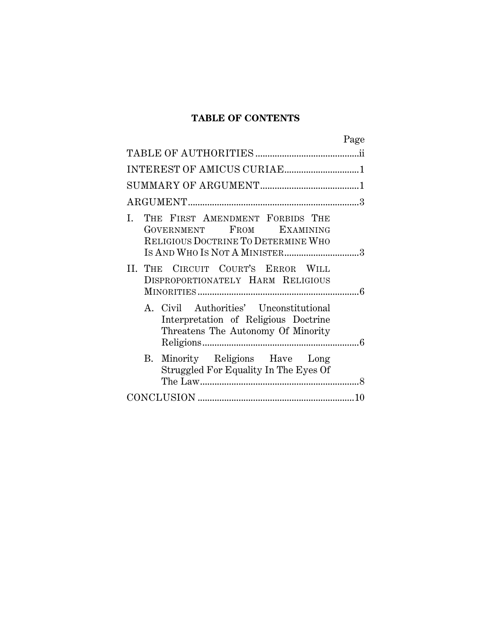# **TABLE OF CONTENTS**

| Page                                                                                                                                       |
|--------------------------------------------------------------------------------------------------------------------------------------------|
|                                                                                                                                            |
|                                                                                                                                            |
|                                                                                                                                            |
|                                                                                                                                            |
| THE FIRST AMENDMENT FORBIDS THE<br>Ι.<br>GOVERNMENT FROM EXAMINING<br>RELIGIOUS DOCTRINE TO DETERMINE WHO<br>IS AND WHO IS NOT A MINISTER3 |
| II. THE CIRCUIT COURT'S ERROR WILL<br>DISPROPORTIONATELY HARM RELIGIOUS                                                                    |
| A. Civil Authorities' Unconstitutional<br>Interpretation of Religious Doctrine<br>Threatens The Autonomy Of Minority                       |
| B. Minority Religions Have Long<br>Struggled For Equality In The Eyes Of                                                                   |
|                                                                                                                                            |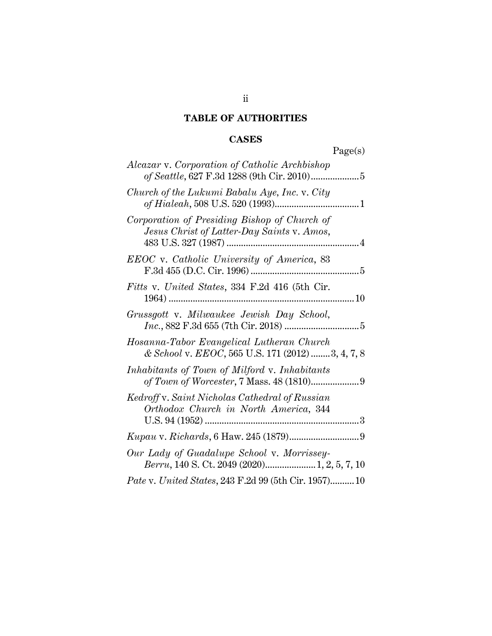# **TABLE OF AUTHORITIES**

# **CASES**

|                                                                                               | Page(s) |
|-----------------------------------------------------------------------------------------------|---------|
| Alcazar v. Corporation of Catholic Archbishop                                                 |         |
| Church of the Lukumi Babalu Aye, Inc. v. City                                                 |         |
| Corporation of Presiding Bishop of Church of<br>Jesus Christ of Latter-Day Saints v. Amos,    |         |
| EEOC v. Catholic University of America, 83                                                    |         |
| Fitts v. United States, 334 F.2d 416 (5th Cir.                                                |         |
| Grussgott v. Milwaukee Jewish Day School,                                                     |         |
| Hosanna-Tabor Evangelical Lutheran Church<br>& School v. EEOC, 565 U.S. 171 (2012) 3, 4, 7, 8 |         |
| Inhabitants of Town of Milford v. Inhabitants                                                 |         |
| Kedroff v. Saint Nicholas Cathedral of Russian<br>Orthodox Church in North America, 344       |         |
|                                                                                               |         |
| Our Lady of Guadalupe School v. Morrissey-<br>Berru, 140 S. Ct. 2049 (2020) 1, 2, 5, 7, 10    |         |
| Pate v. United States, 243 F.2d 99 (5th Cir. 1957) 10                                         |         |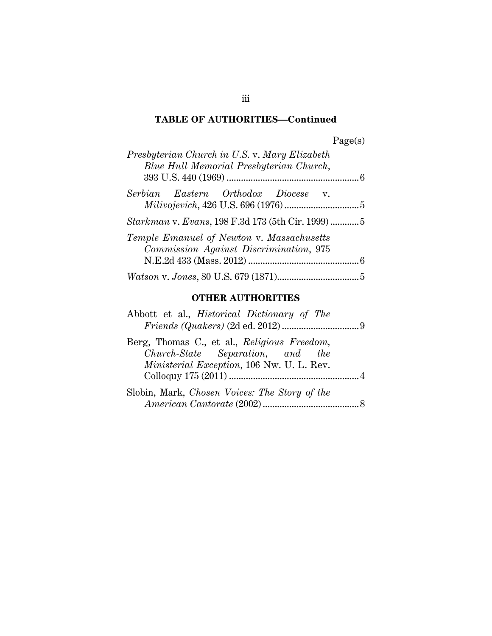# **TABLE OF AUTHORITIES—Continued**

| )<br>Page(s) |
|--------------|
|--------------|

| Presbyterian Church in U.S. v. Mary Elizabeth<br>Blue Hull Memorial Presbyterian Church, |  |
|------------------------------------------------------------------------------------------|--|
| Serbian Eastern Orthodox Diocese v.                                                      |  |
| Starkman v. Evans, 198 F.3d 173 (5th Cir. 1999) 5                                        |  |
| Temple Emanuel of Newton v. Massachusetts<br>Commission Against Discrimination, 975      |  |
|                                                                                          |  |

# **OTHER AUTHORITIES**

| Abbott et al., <i>Historical Dictionary of The</i>                              |  |
|---------------------------------------------------------------------------------|--|
| Berg, Thomas C., et al., Religious Freedom,<br>Church-State Separation, and the |  |
| <i>Ministerial Exception,</i> 106 Nw. U. L. Rev.                                |  |
| Slobin, Mark, Chosen Voices: The Story of the                                   |  |

iii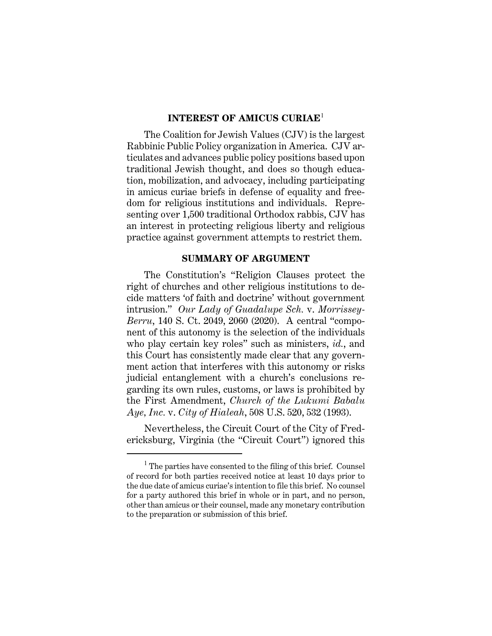#### **INTEREST OF AMICUS CURIAE**<sup>1</sup>

The Coalition for Jewish Values (CJV) is the largest Rabbinic Public Policy organization in America. CJV articulates and advances public policy positions based upon traditional Jewish thought, and does so though education, mobilization, and advocacy, including participating in amicus curiae briefs in defense of equality and freedom for religious institutions and individuals. Representing over 1,500 traditional Orthodox rabbis, CJV has an interest in protecting religious liberty and religious practice against government attempts to restrict them.

#### **SUMMARY OF ARGUMENT**

The Constitution's "Religion Clauses protect the right of churches and other religious institutions to decide matters 'of faith and doctrine' without government intrusion." *Our Lady of Guadalupe Sch.* v. *Morrissey-Berru*, 140 S. Ct. 2049, 2060 (2020). A central "component of this autonomy is the selection of the individuals who play certain key roles" such as ministers, *id.*, and this Court has consistently made clear that any government action that interferes with this autonomy or risks judicial entanglement with a church's conclusions regarding its own rules, customs, or laws is prohibited by the First Amendment, *Church of the Lukumi Babalu Aye, Inc.* v. *City of Hialeah*, 508 U.S. 520, 532 (1993).

Nevertheless, the Circuit Court of the City of Fredericksburg, Virginia (the "Circuit Court") ignored this

<sup>&</sup>lt;sup>1</sup> The parties have consented to the filing of this brief. Counsel of record for both parties received notice at least 10 days prior to the due date of amicus curiae's intention to file this brief. No counsel for a party authored this brief in whole or in part, and no person, other than amicus or their counsel, made any monetary contribution to the preparation or submission of this brief.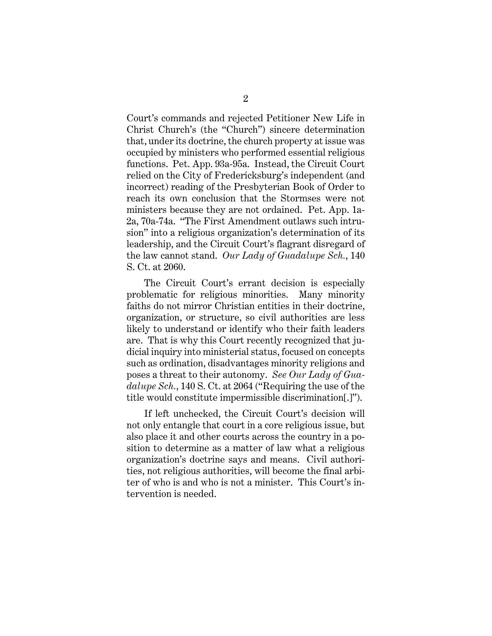Court's commands and rejected Petitioner New Life in Christ Church's (the "Church") sincere determination that, under its doctrine, the church property at issue was occupied by ministers who performed essential religious functions. Pet. App. 93a-95a. Instead, the Circuit Court relied on the City of Fredericksburg's independent (and incorrect) reading of the Presbyterian Book of Order to reach its own conclusion that the Stormses were not ministers because they are not ordained. Pet. App. 1a-2a, 70a-74a. "The First Amendment outlaws such intrusion" into a religious organization's determination of its leadership, and the Circuit Court's flagrant disregard of the law cannot stand. *Our Lady of Guadalupe Sch.*, 140 S. Ct. at 2060.

The Circuit Court's errant decision is especially problematic for religious minorities. Many minority faiths do not mirror Christian entities in their doctrine, organization, or structure, so civil authorities are less likely to understand or identify who their faith leaders are. That is why this Court recently recognized that judicial inquiry into ministerial status, focused on concepts such as ordination, disadvantages minority religions and poses a threat to their autonomy. *See Our Lady of Guadalupe Sch.*, 140 S. Ct. at 2064 ("Requiring the use of the title would constitute impermissible discrimination[.]").

If left unchecked, the Circuit Court's decision will not only entangle that court in a core religious issue, but also place it and other courts across the country in a position to determine as a matter of law what a religious organization's doctrine says and means. Civil authorities, not religious authorities, will become the final arbiter of who is and who is not a minister. This Court's intervention is needed.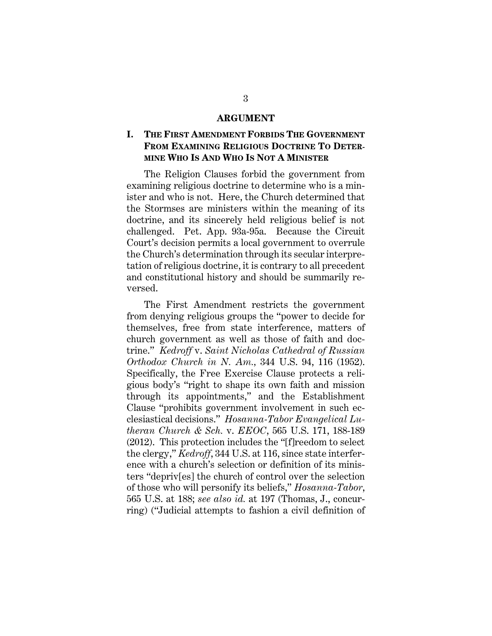#### **ARGUMENT**

### **I. THE FIRST AMENDMENT FORBIDS THE GOVERNMENT FROM EXAMINING RELIGIOUS DOCTRINE TO DETER-MINE WHO IS AND WHO IS NOT A MINISTER**

The Religion Clauses forbid the government from examining religious doctrine to determine who is a minister and who is not. Here, the Church determined that the Stormses are ministers within the meaning of its doctrine, and its sincerely held religious belief is not challenged. Pet. App. 93a-95a. Because the Circuit Court's decision permits a local government to overrule the Church's determination through its secular interpretation of religious doctrine, it is contrary to all precedent and constitutional history and should be summarily reversed.

The First Amendment restricts the government from denying religious groups the "power to decide for themselves, free from state interference, matters of church government as well as those of faith and doctrine." *Kedroff* v. *Saint Nicholas Cathedral of Russian Orthodox Church in N. Am.,* 344 U.S. 94, 116 (1952). Specifically, the Free Exercise Clause protects a religious body's "right to shape its own faith and mission through its appointments," and the Establishment Clause "prohibits government involvement in such ecclesiastical decisions." *Hosanna-Tabor Evangelical Lutheran Church & Sch.* v. *EEOC*, 565 U.S. 171, 188-189 (2012). This protection includes the "[f]reedom to select the clergy," *Kedroff*, 344 U.S. at 116, since state interference with a church's selection or definition of its ministers "depriv[es] the church of control over the selection of those who will personify its beliefs," *Hosanna-Tabor*, 565 U.S. at 188; *see also id.* at 197 (Thomas, J., concurring) ("Judicial attempts to fashion a civil definition of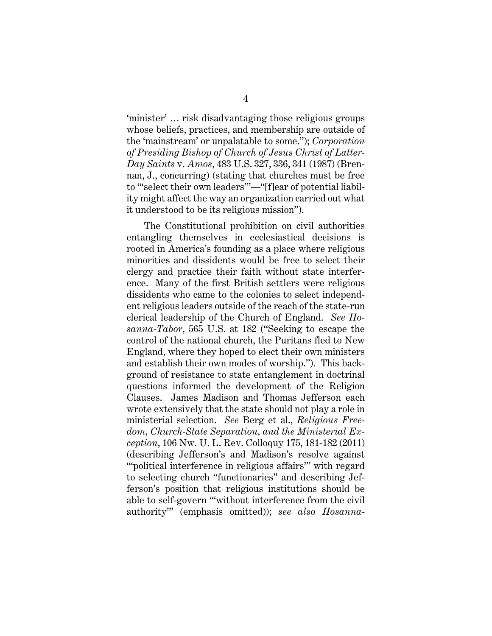'minister' … risk disadvantaging those religious groups whose beliefs, practices, and membership are outside of the 'mainstream' or unpalatable to some."); *Corporation of Presiding Bishop of Church of Jesus Christ of Latter-Day Saints* v. *Amos*, 483 U.S. 327, 336, 341 (1987) (Brennan, J., concurring) (stating that churches must be free to "'select their own leaders'"—"[f]ear of potential liability might affect the way an organization carried out what it understood to be its religious mission").

The Constitutional prohibition on civil authorities entangling themselves in ecclesiastical decisions is rooted in America's founding as a place where religious minorities and dissidents would be free to select their clergy and practice their faith without state interference. Many of the first British settlers were religious dissidents who came to the colonies to select independent religious leaders outside of the reach of the state-run clerical leadership of the Church of England. *See Hosanna-Tabor*, 565 U.S. at 182 ("Seeking to escape the control of the national church, the Puritans fled to New England, where they hoped to elect their own ministers and establish their own modes of worship."). This background of resistance to state entanglement in doctrinal questions informed the development of the Religion Clauses. James Madison and Thomas Jefferson each wrote extensively that the state should not play a role in ministerial selection. *See* Berg et al., *Religious Freedom, Church-State Separation, and the Ministerial Exception*, 106 Nw. U. L. Rev. Colloquy 175, 181-182 (2011) (describing Jefferson's and Madison's resolve against "'political interference in religious affairs'" with regard to selecting church "functionaries" and describing Jefferson's position that religious institutions should be able to self-govern "'without interference from the civil authority'" (emphasis omitted)); *see also Hosanna-*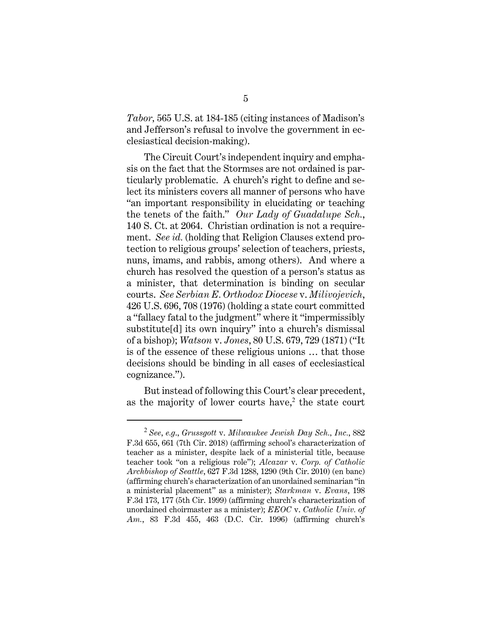*Tabor,* 565 U.S. at 184-185 (citing instances of Madison's and Jefferson's refusal to involve the government in ecclesiastical decision-making).

The Circuit Court's independent inquiry and emphasis on the fact that the Stormses are not ordained is particularly problematic. A church's right to define and select its ministers covers all manner of persons who have "an important responsibility in elucidating or teaching the tenets of the faith." *Our Lady of Guadalupe Sch.*, 140 S. Ct. at 2064. Christian ordination is not a requirement. *See id.* (holding that Religion Clauses extend protection to religious groups' selection of teachers, priests, nuns, imams, and rabbis, among others). And where a church has resolved the question of a person's status as a minister, that determination is binding on secular courts. *See Serbian E. Orthodox Diocese* v. *Milivojevich*, 426 U.S. 696, 708 (1976) (holding a state court committed a "fallacy fatal to the judgment" where it "impermissibly substitute[d] its own inquiry" into a church's dismissal of a bishop); *Watson* v. *Jones*, 80 U.S. 679, 729 (1871) ("It is of the essence of these religious unions … that those decisions should be binding in all cases of ecclesiastical cognizance.").

But instead of following this Court's clear precedent, as the majority of lower courts have, $2$  the state court

<sup>2</sup> *See*, *e.g*., *Grussgott* v. *Milwaukee Jewish Day Sch., Inc.*, 882 F.3d 655, 661 (7th Cir. 2018) (affirming school's characterization of teacher as a minister, despite lack of a ministerial title, because teacher took "on a religious role"); *Alcazar* v. *Corp. of Catholic Archbishop of Seattle*, 627 F.3d 1288, 1290 (9th Cir. 2010) (en banc) (affirming church's characterization of an unordained seminarian "in a ministerial placement" as a minister); *Starkman* v. *Evans*, 198 F.3d 173, 177 (5th Cir. 1999) (affirming church's characterization of unordained choirmaster as a minister); *EEOC* v. *Catholic Univ. of Am.*, 83 F.3d 455, 463 (D.C. Cir. 1996) (affirming church's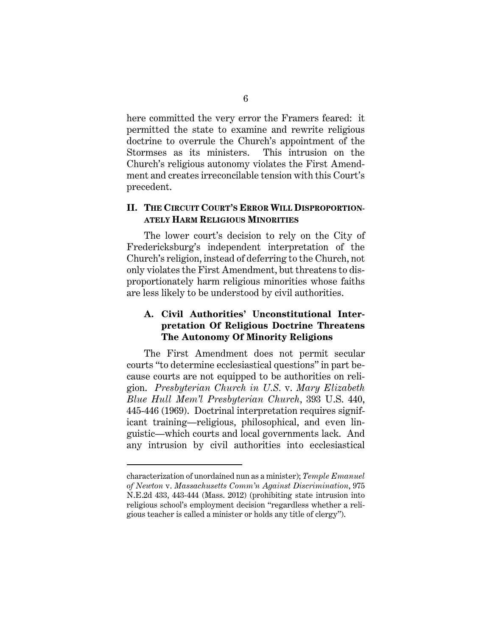here committed the very error the Framers feared: it permitted the state to examine and rewrite religious doctrine to overrule the Church's appointment of the Stormses as its ministers. This intrusion on the Church's religious autonomy violates the First Amendment and creates irreconcilable tension with this Court's precedent.

### **II. THE CIRCUIT COURT'S ERROR WILL DISPROPORTION-ATELY HARM RELIGIOUS MINORITIES**

The lower court's decision to rely on the City of Fredericksburg's independent interpretation of the Church's religion, instead of deferring to the Church, not only violates the First Amendment, but threatens to disproportionately harm religious minorities whose faiths are less likely to be understood by civil authorities.

### **A. Civil Authorities' Unconstitutional Interpretation Of Religious Doctrine Threatens The Autonomy Of Minority Religions**

The First Amendment does not permit secular courts "to determine ecclesiastical questions" in part because courts are not equipped to be authorities on religion. *Presbyterian Church in U.S.* v. *Mary Elizabeth Blue Hull Mem'l Presbyterian Church*, 393 U.S. 440, 445-446 (1969). Doctrinal interpretation requires significant training—religious, philosophical, and even linguistic—which courts and local governments lack. And any intrusion by civil authorities into ecclesiastical

characterization of unordained nun as a minister); *Temple Emanuel of Newton* v. *Massachusetts Comm'n Against Discrimination*, 975 N.E.2d 433, 443-444 (Mass. 2012) (prohibiting state intrusion into religious school's employment decision "regardless whether a religious teacher is called a minister or holds any title of clergy").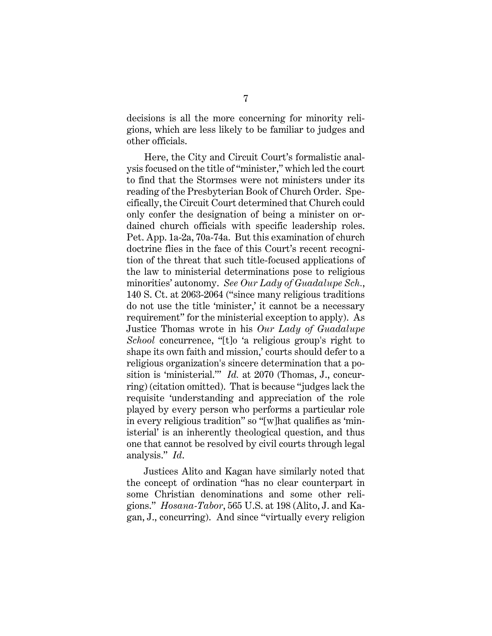decisions is all the more concerning for minority religions, which are less likely to be familiar to judges and other officials.

Here, the City and Circuit Court's formalistic analysis focused on the title of "minister," which led the court to find that the Stormses were not ministers under its reading of the Presbyterian Book of Church Order. Specifically, the Circuit Court determined that Church could only confer the designation of being a minister on ordained church officials with specific leadership roles. Pet. App. 1a-2a, 70a-74a. But this examination of church doctrine flies in the face of this Court's recent recognition of the threat that such title-focused applications of the law to ministerial determinations pose to religious minorities' autonomy. *See Our Lady of Guadalupe Sch.*, 140 S. Ct. at 2063-2064 ("since many religious traditions do not use the title 'minister,' it cannot be a necessary requirement" for the ministerial exception to apply). As Justice Thomas wrote in his *Our Lady of Guadalupe School* concurrence, "[t]o 'a religious group's right to shape its own faith and mission,' courts should defer to a religious organization's sincere determination that a position is 'ministerial.'" *Id.* at 2070 (Thomas, J., concurring) (citation omitted). That is because "judges lack the requisite 'understanding and appreciation of the role played by every person who performs a particular role in every religious tradition" so "[w]hat qualifies as 'ministerial' is an inherently theological question, and thus one that cannot be resolved by civil courts through legal analysis." *Id*.

Justices Alito and Kagan have similarly noted that the concept of ordination "has no clear counterpart in some Christian denominations and some other religions." *Hosana-Tabor*, 565 U.S. at 198 (Alito, J. and Kagan, J., concurring). And since "virtually every religion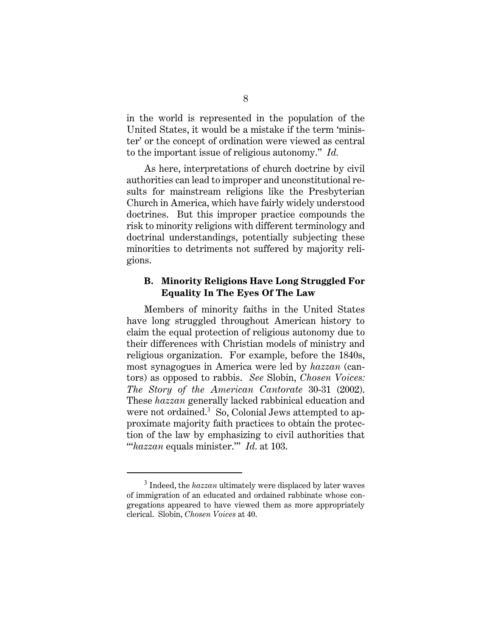in the world is represented in the population of the United States, it would be a mistake if the term 'minister' or the concept of ordination were viewed as central to the important issue of religious autonomy." *Id.* 

As here, interpretations of church doctrine by civil authorities can lead to improper and unconstitutional results for mainstream religions like the Presbyterian Church in America, which have fairly widely understood doctrines. But this improper practice compounds the risk to minority religions with different terminology and doctrinal understandings, potentially subjecting these minorities to detriments not suffered by majority religions.

### **B. Minority Religions Have Long Struggled For Equality In The Eyes Of The Law**

Members of minority faiths in the United States have long struggled throughout American history to claim the equal protection of religious autonomy due to their differences with Christian models of ministry and religious organization. For example, before the 1840s, most synagogues in America were led by *hazzan* (cantors) as opposed to rabbis. *See* Slobin, *Chosen Voices: The Story of the American Cantorate* 30-31 (2002). These *hazzan* generally lacked rabbinical education and were not ordained.<sup>3</sup> So, Colonial Jews attempted to approximate majority faith practices to obtain the protection of the law by emphasizing to civil authorities that "'*hazzan* equals minister.'" *Id.* at 103.

<sup>&</sup>lt;sup>3</sup> Indeed, the *hazzan* ultimately were displaced by later waves of immigration of an educated and ordained rabbinate whose congregations appeared to have viewed them as more appropriately clerical. Slobin, *Chosen Voices* at 40.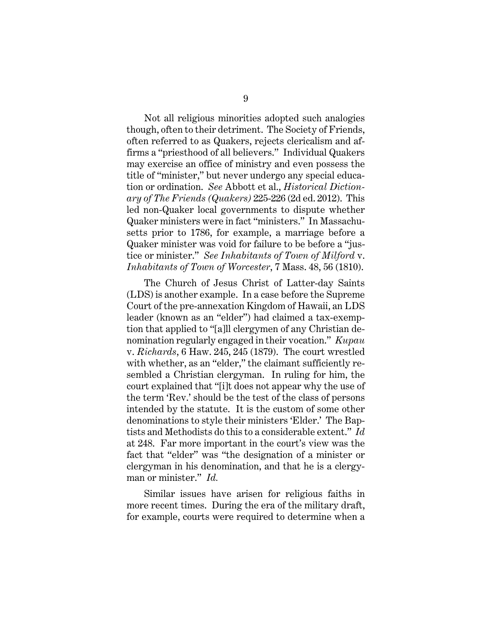Not all religious minorities adopted such analogies though, often to their detriment. The Society of Friends, often referred to as Quakers, rejects clericalism and affirms a "priesthood of all believers." Individual Quakers may exercise an office of ministry and even possess the title of "minister," but never undergo any special education or ordination. *See* Abbott et al., *Historical Dictionary of The Friends (Quakers)* 225-226 (2d ed. 2012). This led non-Quaker local governments to dispute whether Quaker ministers were in fact "ministers." In Massachusetts prior to 1786, for example, a marriage before a Quaker minister was void for failure to be before a "justice or minister." *See Inhabitants of Town of Milford* v. *Inhabitants of Town of Worcester*, 7 Mass. 48, 56 (1810).

The Church of Jesus Christ of Latter-day Saints (LDS) is another example. In a case before the Supreme Court of the pre-annexation Kingdom of Hawaii, an LDS leader (known as an "elder") had claimed a tax-exemption that applied to "[a]ll clergymen of any Christian denomination regularly engaged in their vocation." *Kupau* v. *Richards*, 6 Haw. 245, 245 (1879). The court wrestled with whether, as an "elder," the claimant sufficiently resembled a Christian clergyman. In ruling for him, the court explained that "[i]t does not appear why the use of the term 'Rev.' should be the test of the class of persons intended by the statute. It is the custom of some other denominations to style their ministers 'Elder.' The Baptists and Methodists do this to a considerable extent." *Id*  at 248. Far more important in the court's view was the fact that "elder" was "the designation of a minister or clergyman in his denomination, and that he is a clergyman or minister." *Id.* 

Similar issues have arisen for religious faiths in more recent times. During the era of the military draft, for example, courts were required to determine when a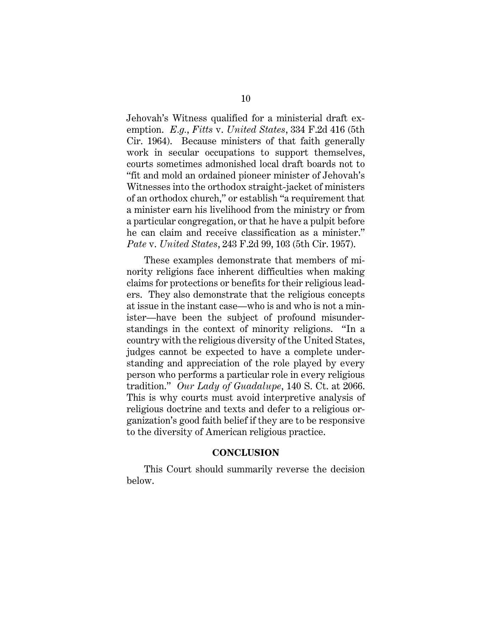Jehovah's Witness qualified for a ministerial draft exemption. *E.g.*, *Fitts* v. *United States*, 334 F.2d 416 (5th Cir. 1964). Because ministers of that faith generally work in secular occupations to support themselves, courts sometimes admonished local draft boards not to "fit and mold an ordained pioneer minister of Jehovah's Witnesses into the orthodox straight-jacket of ministers of an orthodox church," or establish "a requirement that a minister earn his livelihood from the ministry or from a particular congregation, or that he have a pulpit before he can claim and receive classification as a minister." *Pate* v. *United States*, 243 F.2d 99, 103 (5th Cir. 1957).

These examples demonstrate that members of minority religions face inherent difficulties when making claims for protections or benefits for their religious leaders. They also demonstrate that the religious concepts at issue in the instant case—who is and who is not a minister—have been the subject of profound misunderstandings in the context of minority religions. "In a country with the religious diversity of the United States, judges cannot be expected to have a complete understanding and appreciation of the role played by every person who performs a particular role in every religious tradition." *Our Lady of Guadalupe*, 140 S. Ct. at 2066. This is why courts must avoid interpretive analysis of religious doctrine and texts and defer to a religious organization's good faith belief if they are to be responsive to the diversity of American religious practice.

#### **CONCLUSION**

This Court should summarily reverse the decision below.